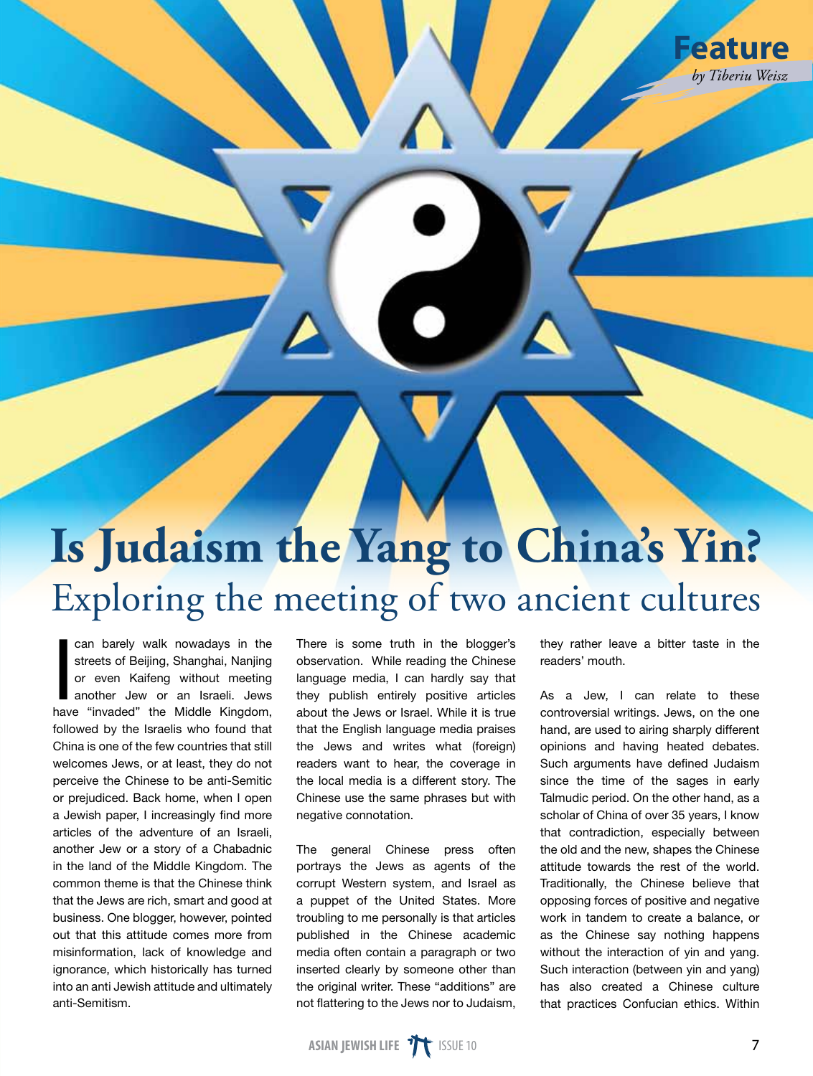## **Is Judaism the Yang to China's Yin?** Exploring the meeting of two ancient cultures

can barely walk nowadays in the<br>streets of Beijing, Shanghai, Nanjing<br>or even Kaifeng without meeting<br>another Jew or an Israeli. Jews<br>have "invaded" the Middle Kingdom streets of Beijing, Shanghai, Nanjing or even Kaifeng without meeting another Jew or an Israeli. Jews have "invaded" the Middle Kingdom, followed by the Israelis who found that China is one of the few countries that still welcomes Jews, or at least, they do not perceive the Chinese to be anti-Semitic or prejudiced. Back home, when I open a Jewish paper, I increasingly find more articles of the adventure of an Israeli, another Jew or a story of a Chabadnic in the land of the Middle Kingdom. The common theme is that the Chinese think that the Jews are rich, smart and good at business. One blogger, however, pointed out that this attitude comes more from misinformation, lack of knowledge and ignorance, which historically has turned into an anti Jewish attitude and ultimately anti-Semitism.

There is some truth in the blogger's observation. While reading the Chinese language media, I can hardly say that they publish entirely positive articles about the Jews or Israel. While it is true that the English language media praises the Jews and writes what (foreign) readers want to hear, the coverage in the local media is a different story. The Chinese use the same phrases but with negative connotation.

The general Chinese press often portrays the Jews as agents of the corrupt Western system, and Israel as a puppet of the United States. More troubling to me personally is that articles published in the Chinese academic media often contain a paragraph or two inserted clearly by someone other than the original writer. These "additions" are not flattering to the Jews nor to Judaism,

they rather leave a bitter taste in the readers' mouth.

As a Jew, I can relate to these controversial writings. Jews, on the one hand, are used to airing sharply different opinions and having heated debates. Such arguments have defined Judaism since the time of the sages in early Talmudic period. On the other hand, as a scholar of China of over 35 years, I know that contradiction, especially between the old and the new, shapes the Chinese attitude towards the rest of the world. Traditionally, the Chinese believe that opposing forces of positive and negative work in tandem to create a balance, or as the Chinese say nothing happens without the interaction of yin and yang. Such interaction (between yin and yang) has also created a Chinese culture that practices Confucian ethics. Within